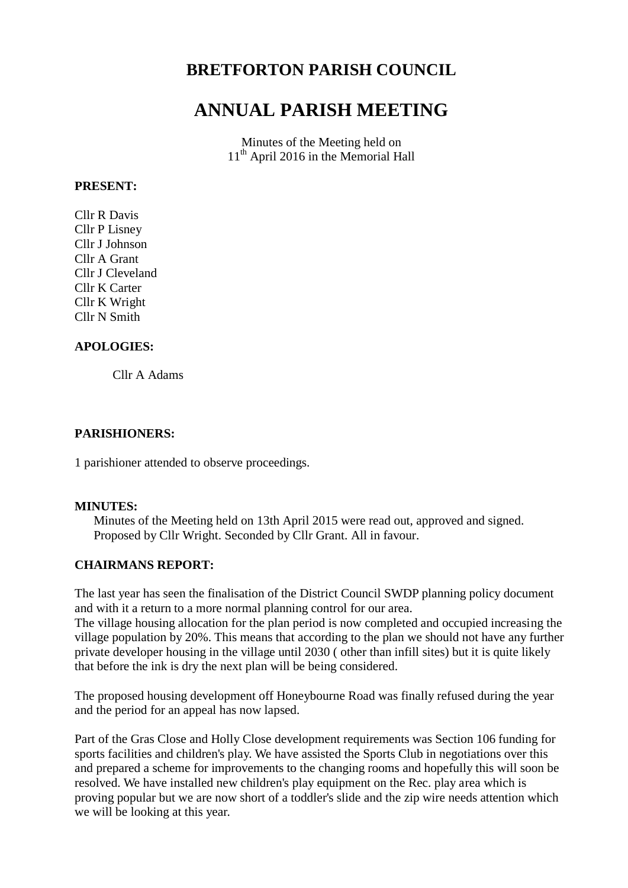## **BRETFORTON PARISH COUNCIL**

# **ANNUAL PARISH MEETING**

Minutes of the Meeting held on 11<sup>th</sup> April 2016 in the Memorial Hall

#### **PRESENT:**

Cllr R Davis Cllr P Lisney Cllr J Johnson Cllr A Grant Cllr J Cleveland Cllr K Carter Cllr K Wright Cllr N Smith

#### **APOLOGIES:**

Cllr A Adams

#### **PARISHIONERS:**

1 parishioner attended to observe proceedings.

#### **MINUTES:**

Minutes of the Meeting held on 13th April 2015 were read out, approved and signed. Proposed by Cllr Wright. Seconded by Cllr Grant. All in favour.

#### **CHAIRMANS REPORT:**

The last year has seen the finalisation of the District Council SWDP planning policy document and with it a return to a more normal planning control for our area. The village housing allocation for the plan period is now completed and occupied increasing the village population by 20%. This means that according to the plan we should not have any further private developer housing in the village until 2030 ( other than infill sites) but it is quite likely that before the ink is dry the next plan will be being considered.

The proposed housing development off Honeybourne Road was finally refused during the year and the period for an appeal has now lapsed.

Part of the Gras Close and Holly Close development requirements was Section 106 funding for sports facilities and children's play. We have assisted the Sports Club in negotiations over this and prepared a scheme for improvements to the changing rooms and hopefully this will soon be resolved. We have installed new children's play equipment on the Rec. play area which is proving popular but we are now short of a toddler's slide and the zip wire needs attention which we will be looking at this year.